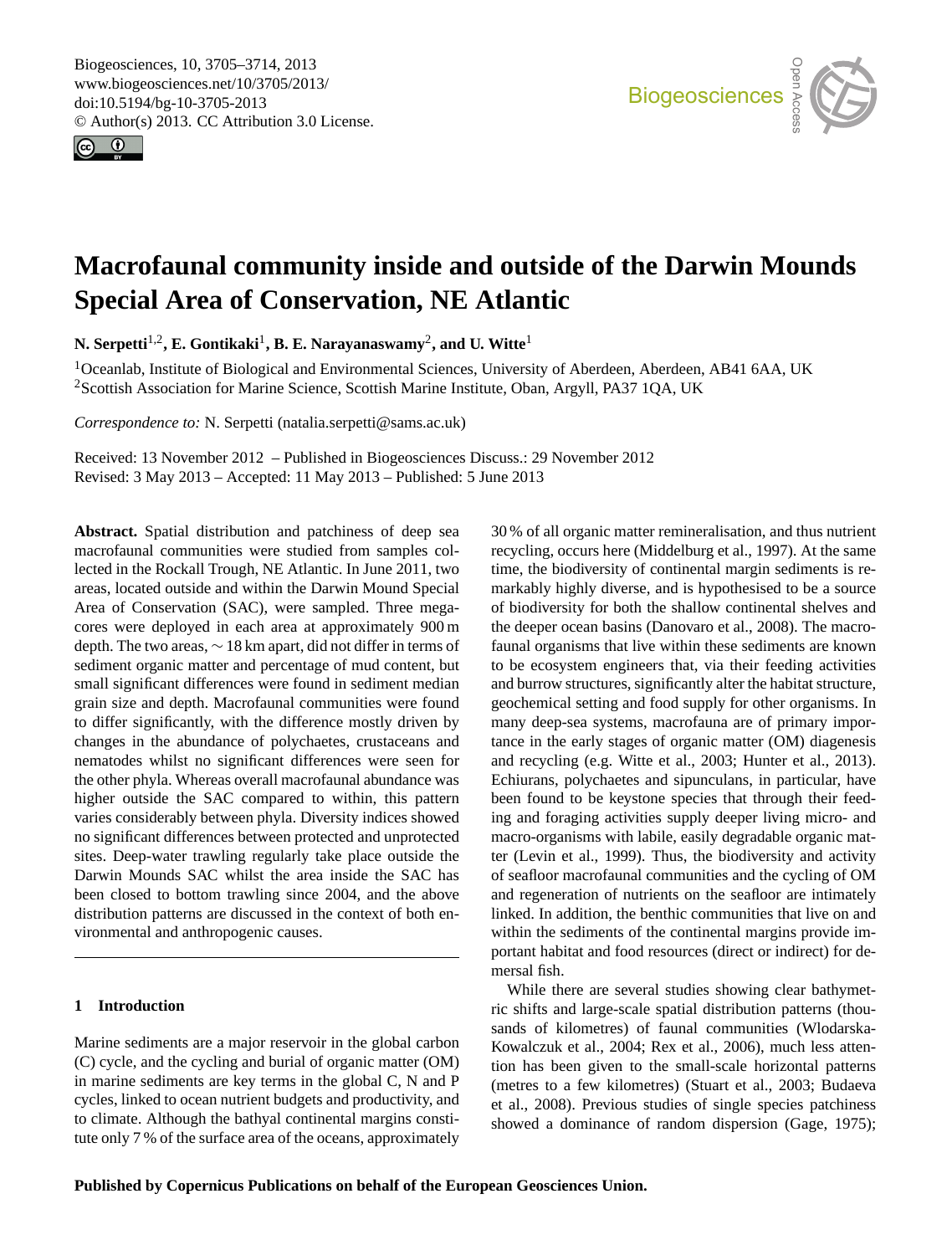<span id="page-0-0"></span>Biogeosciences, 10, 3705–3714, 2013 www.biogeosciences.net/10/3705/2013/ doi:10.5194/bg-10-3705-2013 © Author(s) 2013. CC Attribution 3.0 License.





# **Macrofaunal community inside and outside of the Darwin Mounds Special Area of Conservation, NE Atlantic**

 $N$ . Serpetti<sup>1,2</sup>, E. Gontikaki<sup>1</sup>, B. E. Narayanaswamy<sup>2</sup>, and U. Witte<sup>1</sup>

<sup>2</sup>Scottish Association for Marine Science, Scottish Marine Institute, Oban, Argyll, PA37 1QA, UK <sup>1</sup> Oceanlab, Institute of Biological and Environmental Sciences, University of Aberdeen, Aberdeen, AB41 6AA, UK

*Correspondence to:* N. Serpetti (natalia.serpetti@sams.ac.uk)

Received: 13 November 2012 – Published in Biogeosciences Discuss.: 29 November 2012 Revised: 3 May 2013 – Accepted: 11 May 2013 – Published: 5 June 2013

**Abstract.** Spatial distribution and patchiness of deep sea macrofaunal communities were studied from samples collected in the Rockall Trough, NE Atlantic. In June 2011, two areas, located outside and within the Darwin Mound Special Area of Conservation (SAC), were sampled. Three megacores were deployed in each area at approximately 900 m depth. The two areas, ∼ 18 km apart, did not differ in terms of sediment organic matter and percentage of mud content, but small significant differences were found in sediment median grain size and depth. Macrofaunal communities were found to differ significantly, with the difference mostly driven by changes in the abundance of polychaetes, crustaceans and nematodes whilst no significant differences were seen for the other phyla. Whereas overall macrofaunal abundance was higher outside the SAC compared to within, this pattern varies considerably between phyla. Diversity indices showed no significant differences between protected and unprotected sites. Deep-water trawling regularly take place outside the Darwin Mounds SAC whilst the area inside the SAC has been closed to bottom trawling since 2004, and the above distribution patterns are discussed in the context of both environmental and anthropogenic causes.

# **1 Introduction**

Marine sediments are a major reservoir in the global carbon (C) cycle, and the cycling and burial of organic matter (OM) in marine sediments are key terms in the global C, N and P cycles, linked to ocean nutrient budgets and productivity, and to climate. Although the bathyal continental margins constitute only 7 % of the surface area of the oceans, approximately

30 % of all organic matter remineralisation, and thus nutrient<br>requeling acquire here (Middelburg et al. 1007). At the same time, the biodiversity of continental margin sediments is re- $\begin{bmatrix} 1 & t \\ 0 & 1 \end{bmatrix}$ the deeper ocean basins (Danovaro et al., 2008). The macro-<br>faunal organisms that live within these sediments are known to be ecosystem engineers that, via their feeding activities and burrow structures, significantly alter the habitat structure,<br>geochamical setting and food supply for other organisms. In ).<br>ht:<br>pit Echiurans, polychaetes and sipunculans, in particular, have M<br>ei<br>gh or scandor macroradinal communities and the cycling of OM and regeneration of nutrients on the seafloor are intimately y<br>yo<br>are<br>at recycling, occurs here (Middelburg et al., 1997). At the same markably highly diverse, and is hypothesised to be a source of biodiversity for both the shallow continental shelves and the deeper ocean basins (Danovaro et al., 2008). The macrogeochemical setting and food supply for other organisms. In many deep-sea systems, macrofauna are of primary importance in the early stages of organic matter (OM) diagenesis and recycling (e.g. Witte et al., 2003; Hunter et al., 2013). been found to be keystone species that through their feeding and foraging activities supply deeper living micro- and macro-organisms with labile, easily degradable organic matter (Levin et al., 1999). Thus, the biodiversity and activity of seafloor macrofaunal communities and the cycling of OM linked. In addition, the benthic communities that live on and within the sediments of the continental margins provide important habitat and food resources (direct or indirect) for demersal fish.

while there are several studies showing clear bathymetric shifts and large-scale spatial distribution patterns (thouea<br>at While there are several studies showing clear bathymetsands of kilometres) of faunal communities (Wlodarska-Kowalczuk et al., 2004; Rex et al., 2006), much less attention has been given to the small-scale horizontal patterns (metres to a few kilometres) (Stuart et al., 2003; Budaeva et al., 2008). Previous studies of single species patchiness showed a dominance of random dispersion (Gage, 1975);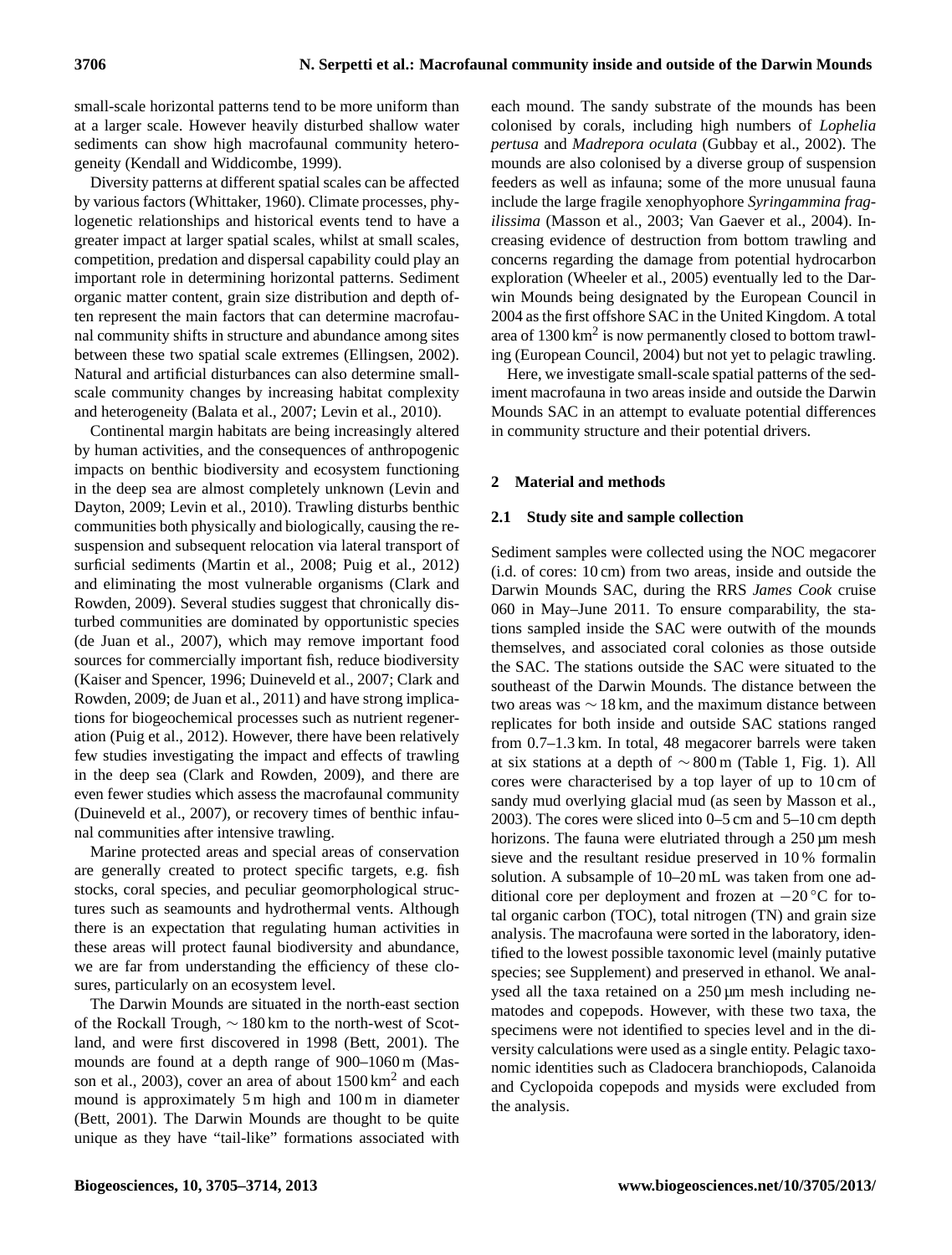small-scale horizontal patterns tend to be more uniform than at a larger scale. However heavily disturbed shallow water sediments can show high macrofaunal community heterogeneity (Kendall and Widdicombe, 1999).

Diversity patterns at different spatial scales can be affected by various factors (Whittaker, 1960). Climate processes, phylogenetic relationships and historical events tend to have a greater impact at larger spatial scales, whilst at small scales, competition, predation and dispersal capability could play an important role in determining horizontal patterns. Sediment organic matter content, grain size distribution and depth often represent the main factors that can determine macrofaunal community shifts in structure and abundance among sites between these two spatial scale extremes (Ellingsen, 2002). Natural and artificial disturbances can also determine smallscale community changes by increasing habitat complexity and heterogeneity (Balata et al., 2007; Levin et al., 2010).

Continental margin habitats are being increasingly altered by human activities, and the consequences of anthropogenic impacts on benthic biodiversity and ecosystem functioning in the deep sea are almost completely unknown (Levin and Dayton, 2009; Levin et al., 2010). Trawling disturbs benthic communities both physically and biologically, causing the resuspension and subsequent relocation via lateral transport of surficial sediments (Martin et al., 2008; Puig et al., 2012) and eliminating the most vulnerable organisms (Clark and Rowden, 2009). Several studies suggest that chronically disturbed communities are dominated by opportunistic species (de Juan et al., 2007), which may remove important food sources for commercially important fish, reduce biodiversity (Kaiser and Spencer, 1996; Duineveld et al., 2007; Clark and Rowden, 2009; de Juan et al., 2011) and have strong implications for biogeochemical processes such as nutrient regeneration (Puig et al., 2012). However, there have been relatively few studies investigating the impact and effects of trawling in the deep sea (Clark and Rowden, 2009), and there are even fewer studies which assess the macrofaunal community (Duineveld et al., 2007), or recovery times of benthic infaunal communities after intensive trawling.

Marine protected areas and special areas of conservation are generally created to protect specific targets, e.g. fish stocks, coral species, and peculiar geomorphological structures such as seamounts and hydrothermal vents. Although there is an expectation that regulating human activities in these areas will protect faunal biodiversity and abundance, we are far from understanding the efficiency of these closures, particularly on an ecosystem level.

The Darwin Mounds are situated in the north-east section of the Rockall Trough, ∼ 180 km to the north-west of Scotland, and were first discovered in 1998 (Bett, 2001). The mounds are found at a depth range of 900–1060 m (Masson et al., 2003), cover an area of about  $1500 \text{ km}^2$  and each mound is approximately 5 m high and 100 m in diameter (Bett, 2001). The Darwin Mounds are thought to be quite unique as they have "tail-like" formations associated with each mound. The sandy substrate of the mounds has been colonised by corals, including high numbers of *Lophelia pertusa* and *Madrepora oculata* (Gubbay et al., 2002). The mounds are also colonised by a diverse group of suspension feeders as well as infauna; some of the more unusual fauna include the large fragile xenophyophore *Syringammina fragilissima* (Masson et al., 2003; Van Gaever et al., 2004). Increasing evidence of destruction from bottom trawling and concerns regarding the damage from potential hydrocarbon exploration (Wheeler et al., 2005) eventually led to the Darwin Mounds being designated by the European Council in 2004 as the first offshore SAC in the United Kingdom. A total area of  $1300 \mathrm{km}^2$  is now permanently closed to bottom trawling (European Council, 2004) but not yet to pelagic trawling.

Here, we investigate small-scale spatial patterns of the sediment macrofauna in two areas inside and outside the Darwin Mounds SAC in an attempt to evaluate potential differences in community structure and their potential drivers.

# **2 Material and methods**

# **2.1 Study site and sample collection**

Sediment samples were collected using the NOC megacorer (i.d. of cores: 10 cm) from two areas, inside and outside the Darwin Mounds SAC, during the RRS *James Cook* cruise 060 in May–June 2011. To ensure comparability, the stations sampled inside the SAC were outwith of the mounds themselves, and associated coral colonies as those outside the SAC. The stations outside the SAC were situated to the southeast of the Darwin Mounds. The distance between the two areas was ∼ 18 km, and the maximum distance between replicates for both inside and outside SAC stations ranged from 0.7–1.3 km. In total, 48 megacorer barrels were taken at six stations at a depth of ∼ 800 m (Table 1, Fig. 1). All cores were characterised by a top layer of up to 10 cm of sandy mud overlying glacial mud (as seen by Masson et al., 2003). The cores were sliced into 0–5 cm and 5–10 cm depth horizons. The fauna were elutriated through a  $250 \mu m$  mesh sieve and the resultant residue preserved in 10 % formalin solution. A subsample of 10–20 mL was taken from one additional core per deployment and frozen at  $-20$  °C for total organic carbon (TOC), total nitrogen (TN) and grain size analysis. The macrofauna were sorted in the laboratory, identified to the lowest possible taxonomic level (mainly putative species; see Supplement) and preserved in ethanol. We analysed all the taxa retained on a  $250 \,\mu m$  mesh including nematodes and copepods. However, with these two taxa, the specimens were not identified to species level and in the diversity calculations were used as a single entity. Pelagic taxonomic identities such as Cladocera branchiopods, Calanoida and Cyclopoida copepods and mysids were excluded from the analysis.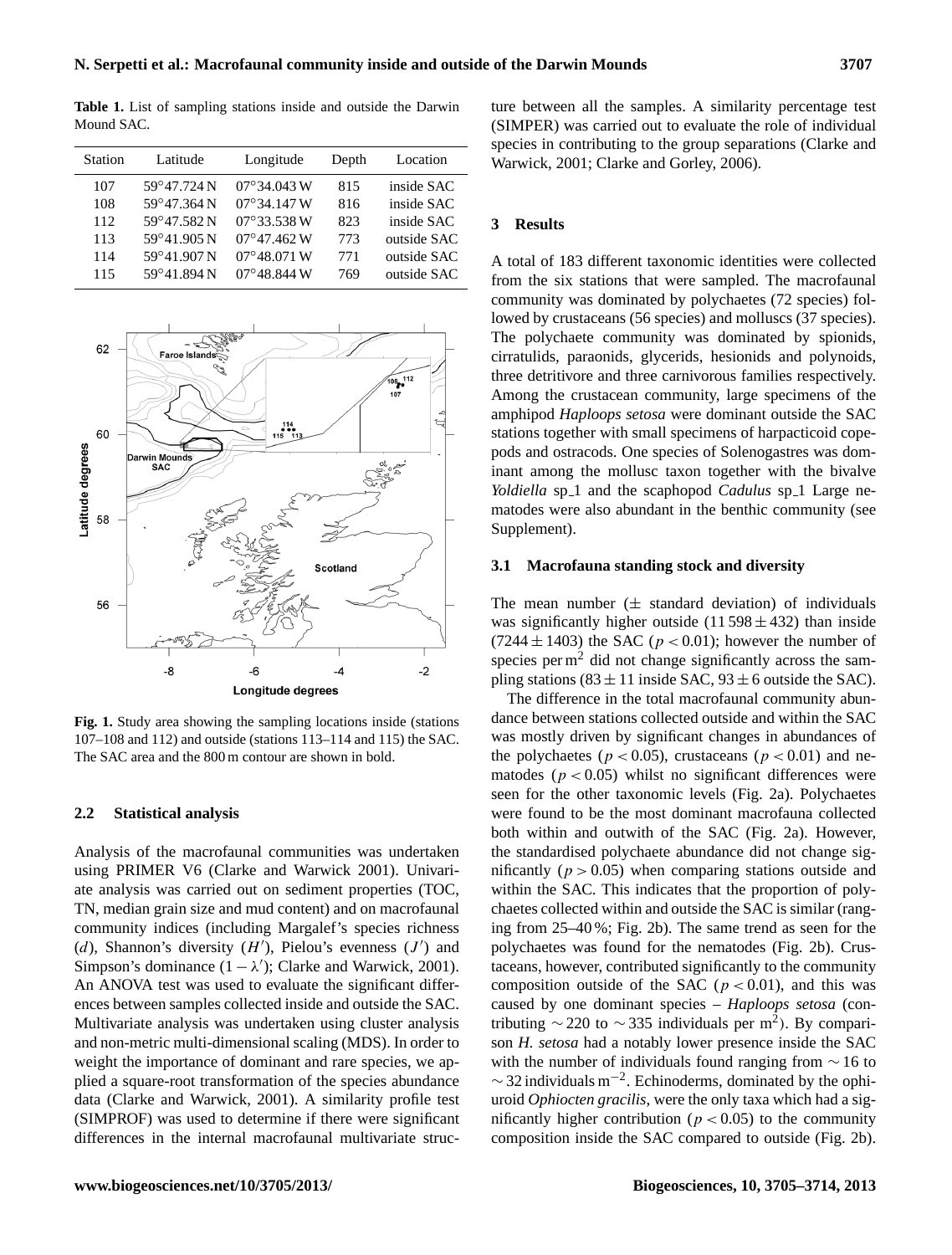**Table 1.** List of sampling stations inside and outside the Darwin Mound SAC.

| <b>Station</b> | Latitude    | Longitude            | Depth | Location    |
|----------------|-------------|----------------------|-------|-------------|
| 107            | 59°47.724 N | $07^{\circ}34.043$ W | 815   | inside SAC  |
| 108            | 59°47.364 N | $07^{\circ}34.147$ W | 816   | inside SAC  |
| 112            | 59°47.582N  | 07°33.538 W          | 823   | inside SAC  |
| 113            | 59°41.905N  | $07^{\circ}47.462$ W | 773   | outside SAC |
| 114            | 59°41.907 N | $07^{\circ}48.071$ W | 771   | outside SAC |
| 115            | 59°41.894 N | $07^{\circ}48.844$ W | 769   | outside SAC |



**Fig. 1.** Study area showing the sampling locations inside (stations 107–108 and 112) and outside (stations 113–114 and 115) the SAC. The SAC area and the 800 m contour are shown in bold.

# **2.2 Statistical analysis**

Analysis of the macrofaunal communities was undertaken using PRIMER V6 (Clarke and Warwick 2001). Univariate analysis was carried out on sediment properties (TOC, TN, median grain size and mud content) and on macrofaunal community indices (including Margalef's species richness (d), Shannon's diversity  $(H')$ , Pielou's evenness  $(J')$  and Simpson's dominance  $(1 - \lambda')$ ; Clarke and Warwick, 2001). An ANOVA test was used to evaluate the significant differences between samples collected inside and outside the SAC. Multivariate analysis was undertaken using cluster analysis and non-metric multi-dimensional scaling (MDS). In order to weight the importance of dominant and rare species, we applied a square-root transformation of the species abundance data (Clarke and Warwick, 2001). A similarity profile test (SIMPROF) was used to determine if there were significant differences in the internal macrofaunal multivariate structure between all the samples. A similarity percentage test (SIMPER) was carried out to evaluate the role of individual species in contributing to the group separations (Clarke and Warwick, 2001; Clarke and Gorley, 2006).

#### **3 Results**

A total of 183 different taxonomic identities were collected from the six stations that were sampled. The macrofaunal community was dominated by polychaetes (72 species) followed by crustaceans (56 species) and molluscs (37 species). The polychaete community was dominated by spionids, cirratulids, paraonids, glycerids, hesionids and polynoids, three detritivore and three carnivorous families respectively. Among the crustacean community, large specimens of the amphipod *Haploops setosa* were dominant outside the SAC stations together with small specimens of harpacticoid copepods and ostracods. One species of Solenogastres was dominant among the mollusc taxon together with the bivalve *Yoldiella* sp<sub>-1</sub> and the scaphopod *Cadulus* sp<sub>-1</sub> Large nematodes were also abundant in the benthic community (see Supplement).

# **3.1 Macrofauna standing stock and diversity**

The mean number  $(\pm$  standard deviation) of individuals was significantly higher outside  $(11 598 \pm 432)$  than inside (7244  $\pm$  1403) the SAC ( $p < 0.01$ ); however the number of species per  $m<sup>2</sup>$  did not change significantly across the sampling stations (83  $\pm$  11 inside SAC, 93  $\pm$  6 outside the SAC).

taceans, however, contributed significantly to the community The difference in the total macrofaunal community abundance between stations collected outside and within the SAC was mostly driven by significant changes in abundances of the polychaetes ( $p < 0.05$ ), crustaceans ( $p < 0.01$ ) and nematodes ( $p < 0.05$ ) whilst no significant differences were seen for the other taxonomic levels (Fig. 2a). Polychaetes were found to be the most dominant macrofauna collected both within and outwith of the SAC (Fig. 2a). However, the standardised polychaete abundance did not change significantly ( $p > 0.05$ ) when comparing stations outside and within the SAC. This indicates that the proportion of polychaetes collected within and outside the SAC is similar (ranging from 25–40 %; Fig. 2b). The same trend as seen for the polychaetes was found for the nematodes (Fig. 2b). Cruscomposition outside of the SAC ( $p < 0.01$ ), and this was caused by one dominant species – *Haploops setosa* (contributing  $\sim$  220 to  $\sim$  335 individuals per m<sup>2</sup>). By comparison *H. setosa* had a notably lower presence inside the SAC with the number of individuals found ranging from  $\sim$  16 to  $\sim$  32 individuals m<sup>-2</sup>. Echinoderms, dominated by the ophiuroid *Ophiocten gracilis*, were the only taxa which had a significantly higher contribution ( $p < 0.05$ ) to the community composition inside the SAC compared to outside (Fig. 2b).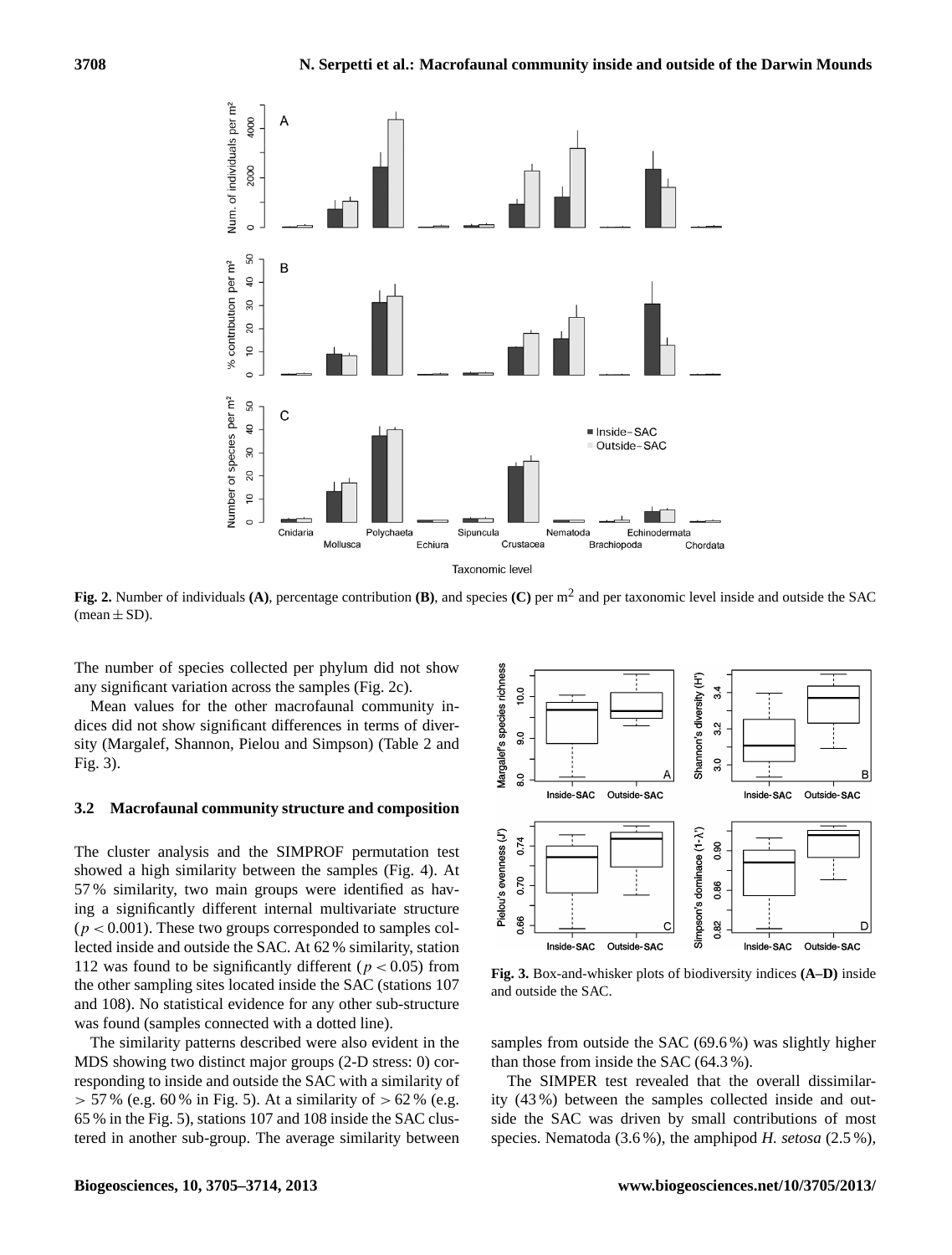

**Fig. 2.** Number of individuals **(A)**, percentage contribution **(B)**, and species **(C)** per m<sup>2</sup> and per taxonomic level inside and outside the SAC  $(mean \pm SD)$ .

The number of species collected per phylum did not show any significant variation across the samples (Fig. 2c).

Mean values for the other macrofaunal community indices did not show significant differences in terms of diversity (Margalef, Shannon, Pielou and Simpson) (Table 2 and Fig. 3).

# **3.2 Macrofaunal community structure and composition**

The cluster analysis and the SIMPROF permutation test showed a high similarity between the samples (Fig. 4). At 57 % similarity, two main groups were identified as having a significantly different internal multivariate structure  $(p < 0.001)$ . These two groups corresponded to samples collected inside and outside the SAC. At 62 % similarity, station 112 was found to be significantly different ( $p < 0.05$ ) from the other sampling sites located inside the SAC (stations 107 and 108). No statistical evidence for any other sub-structure was found (samples connected with a dotted line).

The similarity patterns described were also evident in the MDS showing two distinct major groups (2-D stress: 0) corresponding to inside and outside the SAC with a similarity of  $> 57\%$  (e.g. 60 % in Fig. 5). At a similarity of  $> 62\%$  (e.g. 65 % in the Fig. 5), stations 107 and 108 inside the SAC clustered in another sub-group. The average similarity between



**Fig. 3.** Box-and-whisker plots of biodiversity indices **(A–D)** inside and outside the SAC.

samples from outside the SAC (69.6 %) was slightly higher than those from inside the SAC (64.3 %).

The SIMPER test revealed that the overall dissimilarity (43 %) between the samples collected inside and outside the SAC was driven by small contributions of most species. Nematoda (3.6 %), the amphipod *H. setosa* (2.5 %),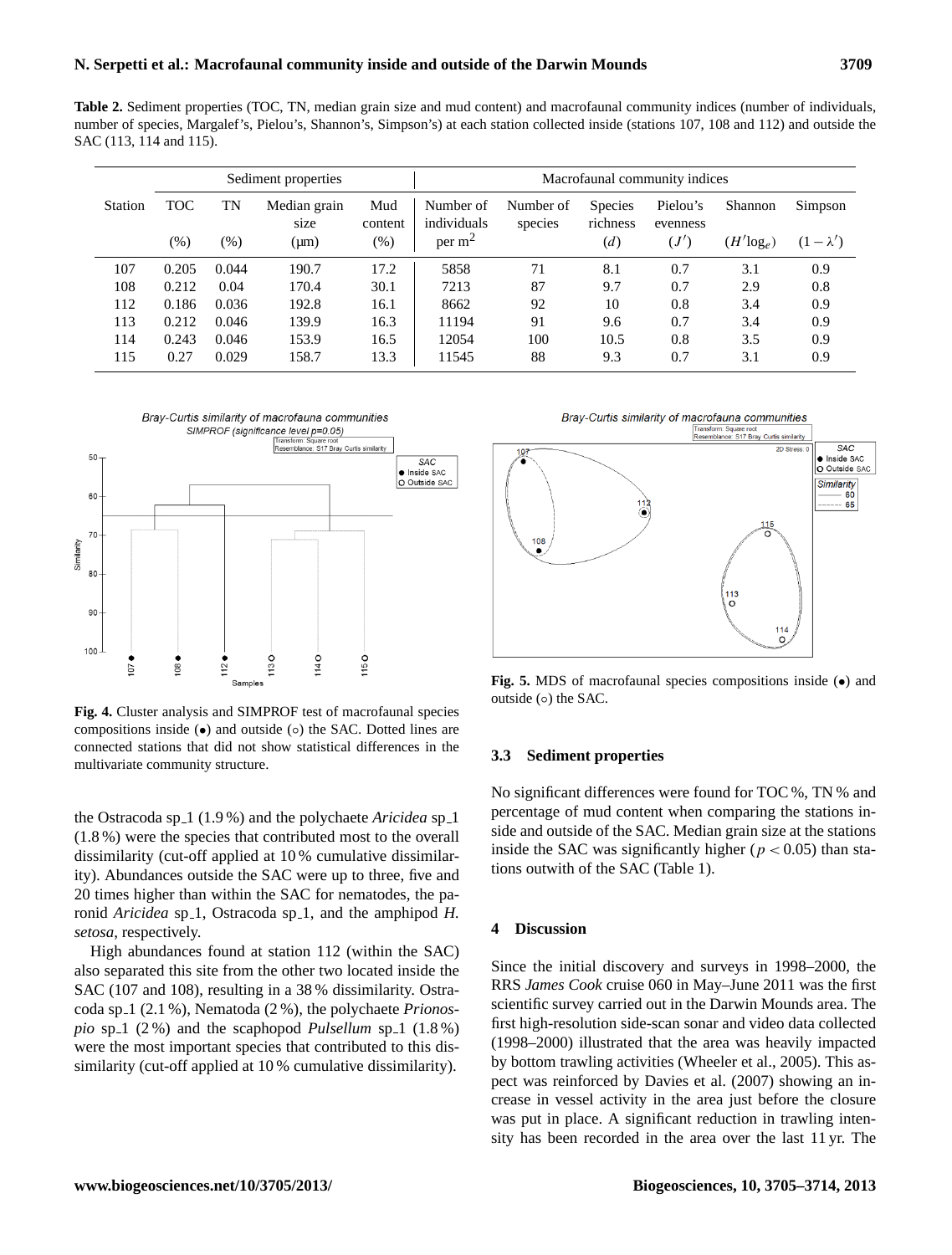**Table 2.** Sediment properties (TOC, TN, median grain size and mud content) and macrofaunal community indices (number of individuals, number of species, Margalef's, Pielou's, Shannon's, Simpson's) at each station collected inside (stations 107, 108 and 112) and outside the SAC (113, 114 and 115).

|                | Sediment properties |       |                      | Macrofaunal community indices |                          |                      |                            |                      |               |                |
|----------------|---------------------|-------|----------------------|-------------------------------|--------------------------|----------------------|----------------------------|----------------------|---------------|----------------|
| <b>Station</b> | TOC                 | TN    | Median grain<br>size | Mud<br>content                | Number of<br>individuals | Number of<br>species | <b>Species</b><br>richness | Pielou's<br>evenness | Shannon       | Simpson        |
|                | (%)                 | (%)   | $(\mu m)$            | $(\%)$                        | per $m2$                 |                      | (d)                        | (J')                 | $(H' \log_e)$ | $(1-\lambda')$ |
| 107            | 0.205               | 0.044 | 190.7                | 17.2                          | 5858                     | 71                   | 8.1                        | 0.7                  | 3.1           | 0.9            |
| 108            | 0.212               | 0.04  | 170.4                | 30.1                          | 7213                     | 87                   | 9.7                        | 0.7                  | 2.9           | 0.8            |
| 112            | 0.186               | 0.036 | 192.8                | 16.1                          | 8662                     | 92                   | 10                         | 0.8                  | 3.4           | 0.9            |
| 113            | 0.212               | 0.046 | 139.9                | 16.3                          | 11194                    | 91                   | 9.6                        | 0.7                  | 3.4           | 0.9            |
| 114            | 0.243               | 0.046 | 153.9                | 16.5                          | 12054                    | 100                  | 10.5                       | 0.8                  | 3.5           | 0.9            |
| 115            | 0.27                | 0.029 | 158.7                | 13.3                          | 11545                    | 88                   | 9.3                        | 0.7                  | 3.1           | 0.9            |



connected stations that did not show statistical differences in the **Fig. 4.** Cluster analysis and SIMPROF test of macrofaunal species compositions inside (•) and outside (◦) the SAC. Dotted lines are multivariate community structure.

the Ostracoda sp<sub>-1</sub> (1.9%) and the polychaete *Aricidea* sp<sub>-1</sub> (1.8 %) were the species that contributed most to the overall dissimilarity (cut-off applied at 10 % cumulative dissimilarity). Abundances outside the SAC were up to three, five and 20 times higher than within the SAC for nematodes, the paronid *Aricidea* sp<sub>-1</sub>, Ostracoda sp<sub>-1</sub>, and the amphipod *H*. *setosa*, respectively.

High abundances found at station 112 (within the SAC) also separated this site from the other two located inside the SAC (107 and 108), resulting in a 38 % dissimilarity. Ostracoda sp 1 (2.1 %), Nematoda (2 %), the polychaete *Prionospio* sp<sub>-1</sub> (2 %) and the scaphopod *Pulsellum* sp<sub>-1</sub> (1.8 %) were the most important species that contributed to this dissimilarity (cut-off applied at 10 % cumulative dissimilarity).



**Fig. 5.** MDS of macrofaunal species compositions inside (•) and outside (◦) the SAC.

#### **3.3 Sediment properties**

No significant differences were found for TOC %, TN % and percentage of mud content when comparing the stations inside and outside of the SAC. Median grain size at the stations inside the SAC was significantly higher ( $p < 0.05$ ) than stations outwith of the SAC (Table 1).

# **4 Discussion**

Since the initial discovery and surveys in 1998–2000, the RRS *James Cook* cruise 060 in May–June 2011 was the first scientific survey carried out in the Darwin Mounds area. The first high-resolution side-scan sonar and video data collected (1998–2000) illustrated that the area was heavily impacted by bottom trawling activities (Wheeler et al., 2005). This aspect was reinforced by Davies et al. (2007) showing an increase in vessel activity in the area just before the closure was put in place. A significant reduction in trawling intensity has been recorded in the area over the last 11 yr. The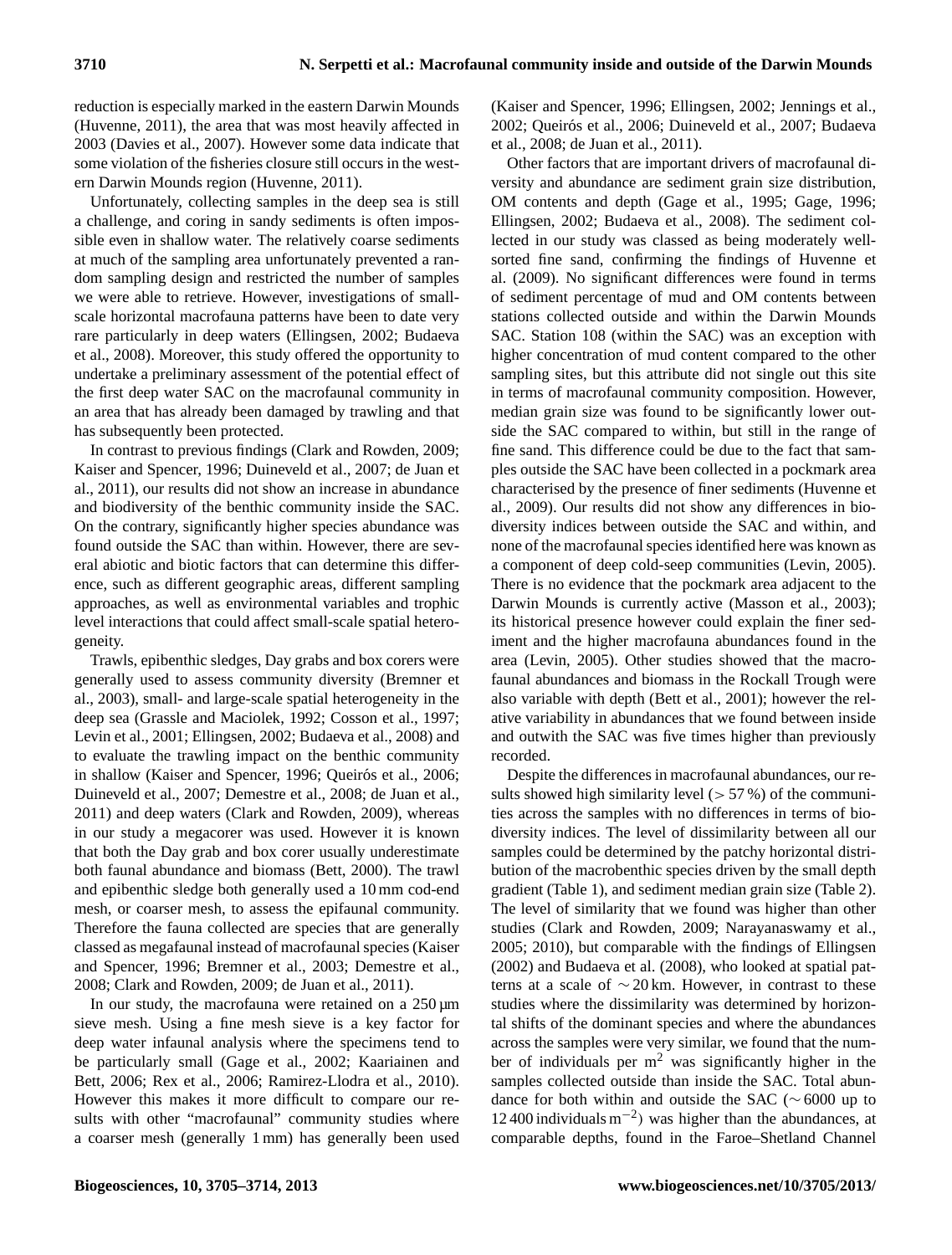reduction is especially marked in the eastern Darwin Mounds (Huvenne, 2011), the area that was most heavily affected in 2003 (Davies et al., 2007). However some data indicate that some violation of the fisheries closure still occurs in the western Darwin Mounds region (Huvenne, 2011).

Unfortunately, collecting samples in the deep sea is still a challenge, and coring in sandy sediments is often impossible even in shallow water. The relatively coarse sediments at much of the sampling area unfortunately prevented a random sampling design and restricted the number of samples we were able to retrieve. However, investigations of smallscale horizontal macrofauna patterns have been to date very rare particularly in deep waters (Ellingsen, 2002; Budaeva et al., 2008). Moreover, this study offered the opportunity to undertake a preliminary assessment of the potential effect of the first deep water SAC on the macrofaunal community in an area that has already been damaged by trawling and that has subsequently been protected.

In contrast to previous findings (Clark and Rowden, 2009; Kaiser and Spencer, 1996; Duineveld et al., 2007; de Juan et al., 2011), our results did not show an increase in abundance and biodiversity of the benthic community inside the SAC. On the contrary, significantly higher species abundance was found outside the SAC than within. However, there are several abiotic and biotic factors that can determine this difference, such as different geographic areas, different sampling approaches, as well as environmental variables and trophic level interactions that could affect small-scale spatial heterogeneity.

Trawls, epibenthic sledges, Day grabs and box corers were generally used to assess community diversity (Bremner et al., 2003), small- and large-scale spatial heterogeneity in the deep sea (Grassle and Maciolek, 1992; Cosson et al., 1997; Levin et al., 2001; Ellingsen, 2002; Budaeva et al., 2008) and to evaluate the trawling impact on the benthic community in shallow (Kaiser and Spencer, 1996; Queirós et al., 2006; Duineveld et al., 2007; Demestre et al., 2008; de Juan et al., 2011) and deep waters (Clark and Rowden, 2009), whereas in our study a megacorer was used. However it is known that both the Day grab and box corer usually underestimate both faunal abundance and biomass (Bett, 2000). The trawl and epibenthic sledge both generally used a 10 mm cod-end mesh, or coarser mesh, to assess the epifaunal community. Therefore the fauna collected are species that are generally classed as megafaunal instead of macrofaunal species (Kaiser and Spencer, 1996; Bremner et al., 2003; Demestre et al., 2008; Clark and Rowden, 2009; de Juan et al., 2011).

In our study, the macrofauna were retained on a  $250 \mu m$ sieve mesh. Using a fine mesh sieve is a key factor for deep water infaunal analysis where the specimens tend to be particularly small (Gage et al., 2002; Kaariainen and Bett, 2006; Rex et al., 2006; Ramirez-Llodra et al., 2010). However this makes it more difficult to compare our results with other "macrofaunal" community studies where a coarser mesh (generally 1 mm) has generally been used (Kaiser and Spencer, 1996; Ellingsen, 2002; Jennings et al., 2002; Queirós et al., 2006; Duineveld et al., 2007; Budaeva et al., 2008; de Juan et al., 2011).

Other factors that are important drivers of macrofaunal diversity and abundance are sediment grain size distribution, OM contents and depth (Gage et al., 1995; Gage, 1996; Ellingsen, 2002; Budaeva et al., 2008). The sediment collected in our study was classed as being moderately wellsorted fine sand, confirming the findings of Huvenne et al. (2009). No significant differences were found in terms of sediment percentage of mud and OM contents between stations collected outside and within the Darwin Mounds SAC. Station 108 (within the SAC) was an exception with higher concentration of mud content compared to the other sampling sites, but this attribute did not single out this site in terms of macrofaunal community composition. However, median grain size was found to be significantly lower outside the SAC compared to within, but still in the range of fine sand. This difference could be due to the fact that samples outside the SAC have been collected in a pockmark area characterised by the presence of finer sediments (Huvenne et al., 2009). Our results did not show any differences in biodiversity indices between outside the SAC and within, and none of the macrofaunal species identified here was known as a component of deep cold-seep communities (Levin, 2005). There is no evidence that the pockmark area adjacent to the Darwin Mounds is currently active (Masson et al., 2003); its historical presence however could explain the finer sediment and the higher macrofauna abundances found in the area (Levin, 2005). Other studies showed that the macrofaunal abundances and biomass in the Rockall Trough were also variable with depth (Bett et al., 2001); however the relative variability in abundances that we found between inside and outwith the SAC was five times higher than previously recorded.

Despite the differences in macrofaunal abundances, our results showed high similarity level  $(> 57\%)$  of the communities across the samples with no differences in terms of biodiversity indices. The level of dissimilarity between all our samples could be determined by the patchy horizontal distribution of the macrobenthic species driven by the small depth gradient (Table 1), and sediment median grain size (Table 2). The level of similarity that we found was higher than other studies (Clark and Rowden, 2009; Narayanaswamy et al., 2005; 2010), but comparable with the findings of Ellingsen (2002) and Budaeva et al. (2008), who looked at spatial patterns at a scale of  $\sim$  20 km. However, in contrast to these studies where the dissimilarity was determined by horizontal shifts of the dominant species and where the abundances across the samples were very similar, we found that the number of individuals per  $m<sup>2</sup>$  was significantly higher in the samples collected outside than inside the SAC. Total abundance for both within and outside the SAC ( $\sim$  6000 up to 12 400 individuals m−<sup>2</sup> ) was higher than the abundances, at comparable depths, found in the Faroe–Shetland Channel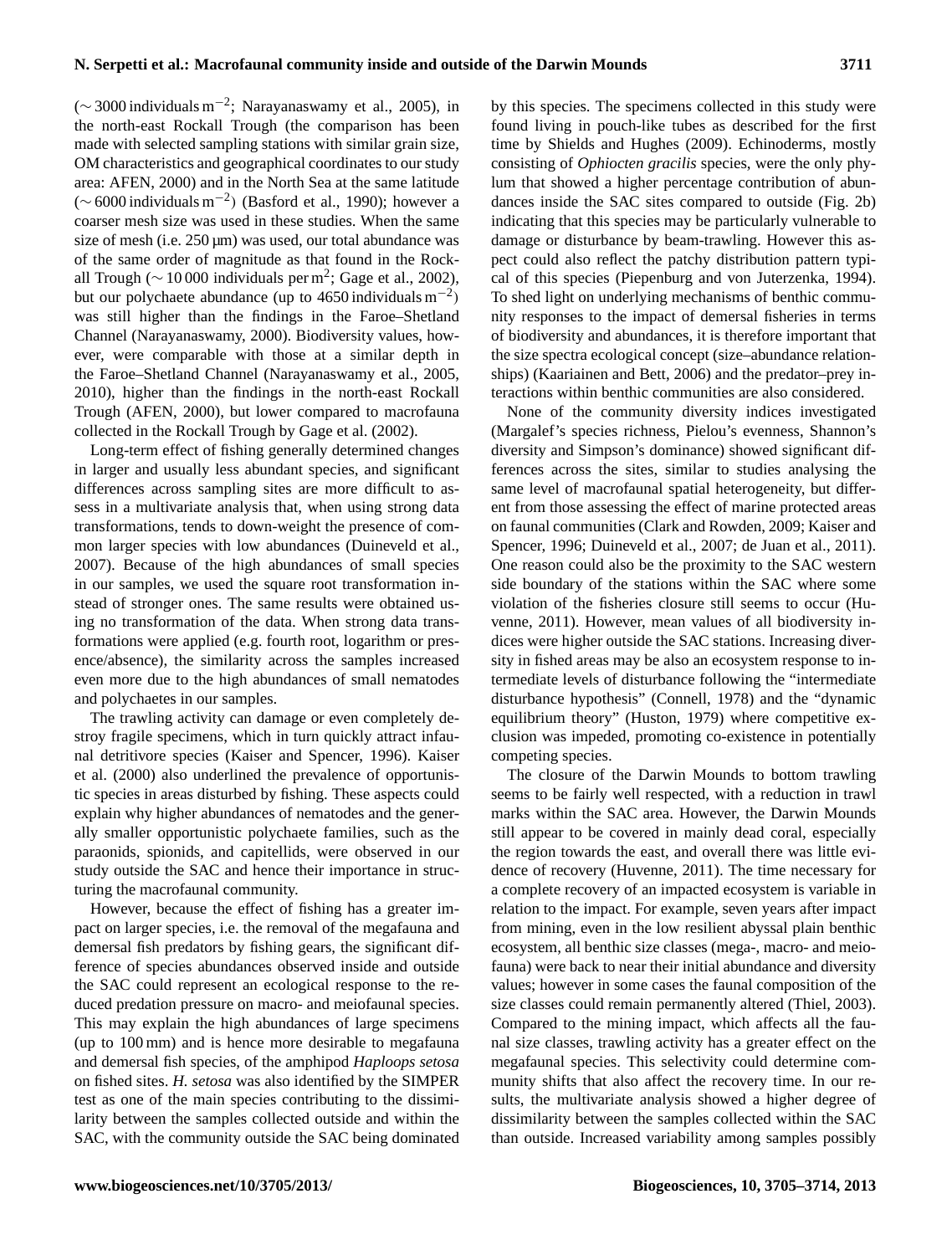(∼ 3000 individuals m−<sup>2</sup> ; Narayanaswamy et al., 2005), in the north-east Rockall Trough (the comparison has been made with selected sampling stations with similar grain size, OM characteristics and geographical coordinates to our study area: AFEN, 2000) and in the North Sea at the same latitude  $(\sim 6000 \text{ individuals m}^{-2})$  (Basford et al., 1990); however a coarser mesh size was used in these studies. When the same size of mesh (i.e.  $250 \,\mu m$ ) was used, our total abundance was of the same order of magnitude as that found in the Rockall Trough ( $\sim$  10 000 individuals per m<sup>2</sup>; Gage et al., 2002), but our polychaete abundance (up to 4650 individuals  $m^{-2}$ ) was still higher than the findings in the Faroe–Shetland Channel (Narayanaswamy, 2000). Biodiversity values, however, were comparable with those at a similar depth in the Faroe–Shetland Channel (Narayanaswamy et al., 2005, 2010), higher than the findings in the north-east Rockall Trough (AFEN, 2000), but lower compared to macrofauna collected in the Rockall Trough by Gage et al. (2002).

Long-term effect of fishing generally determined changes in larger and usually less abundant species, and significant differences across sampling sites are more difficult to assess in a multivariate analysis that, when using strong data transformations, tends to down-weight the presence of common larger species with low abundances (Duineveld et al., 2007). Because of the high abundances of small species in our samples, we used the square root transformation instead of stronger ones. The same results were obtained using no transformation of the data. When strong data transformations were applied (e.g. fourth root, logarithm or presence/absence), the similarity across the samples increased even more due to the high abundances of small nematodes and polychaetes in our samples.

The trawling activity can damage or even completely destroy fragile specimens, which in turn quickly attract infaunal detritivore species (Kaiser and Spencer, 1996). Kaiser et al. (2000) also underlined the prevalence of opportunistic species in areas disturbed by fishing. These aspects could explain why higher abundances of nematodes and the generally smaller opportunistic polychaete families, such as the paraonids, spionids, and capitellids, were observed in our study outside the SAC and hence their importance in structuring the macrofaunal community.

However, because the effect of fishing has a greater impact on larger species, i.e. the removal of the megafauna and demersal fish predators by fishing gears, the significant difference of species abundances observed inside and outside the SAC could represent an ecological response to the reduced predation pressure on macro- and meiofaunal species. This may explain the high abundances of large specimens (up to 100 mm) and is hence more desirable to megafauna and demersal fish species, of the amphipod *Haploops setosa* on fished sites. *H. setosa* was also identified by the SIMPER test as one of the main species contributing to the dissimilarity between the samples collected outside and within the SAC, with the community outside the SAC being dominated by this species. The specimens collected in this study were found living in pouch-like tubes as described for the first time by Shields and Hughes (2009). Echinoderms, mostly consisting of *Ophiocten gracilis* species, were the only phylum that showed a higher percentage contribution of abundances inside the SAC sites compared to outside (Fig. 2b) indicating that this species may be particularly vulnerable to damage or disturbance by beam-trawling. However this aspect could also reflect the patchy distribution pattern typical of this species (Piepenburg and von Juterzenka, 1994). To shed light on underlying mechanisms of benthic community responses to the impact of demersal fisheries in terms of biodiversity and abundances, it is therefore important that the size spectra ecological concept (size–abundance relationships) (Kaariainen and Bett, 2006) and the predator–prey interactions within benthic communities are also considered.

None of the community diversity indices investigated (Margalef's species richness, Pielou's evenness, Shannon's diversity and Simpson's dominance) showed significant differences across the sites, similar to studies analysing the same level of macrofaunal spatial heterogeneity, but different from those assessing the effect of marine protected areas on faunal communities (Clark and Rowden, 2009; Kaiser and Spencer, 1996; Duineveld et al., 2007; de Juan et al., 2011). One reason could also be the proximity to the SAC western side boundary of the stations within the SAC where some violation of the fisheries closure still seems to occur (Huvenne, 2011). However, mean values of all biodiversity indices were higher outside the SAC stations. Increasing diversity in fished areas may be also an ecosystem response to intermediate levels of disturbance following the "intermediate disturbance hypothesis" (Connell, 1978) and the "dynamic equilibrium theory" (Huston, 1979) where competitive exclusion was impeded, promoting co-existence in potentially competing species.

The closure of the Darwin Mounds to bottom trawling seems to be fairly well respected, with a reduction in trawl marks within the SAC area. However, the Darwin Mounds still appear to be covered in mainly dead coral, especially the region towards the east, and overall there was little evidence of recovery (Huvenne, 2011). The time necessary for a complete recovery of an impacted ecosystem is variable in relation to the impact. For example, seven years after impact from mining, even in the low resilient abyssal plain benthic ecosystem, all benthic size classes (mega-, macro- and meiofauna) were back to near their initial abundance and diversity values; however in some cases the faunal composition of the size classes could remain permanently altered (Thiel, 2003). Compared to the mining impact, which affects all the faunal size classes, trawling activity has a greater effect on the megafaunal species. This selectivity could determine community shifts that also affect the recovery time. In our results, the multivariate analysis showed a higher degree of dissimilarity between the samples collected within the SAC than outside. Increased variability among samples possibly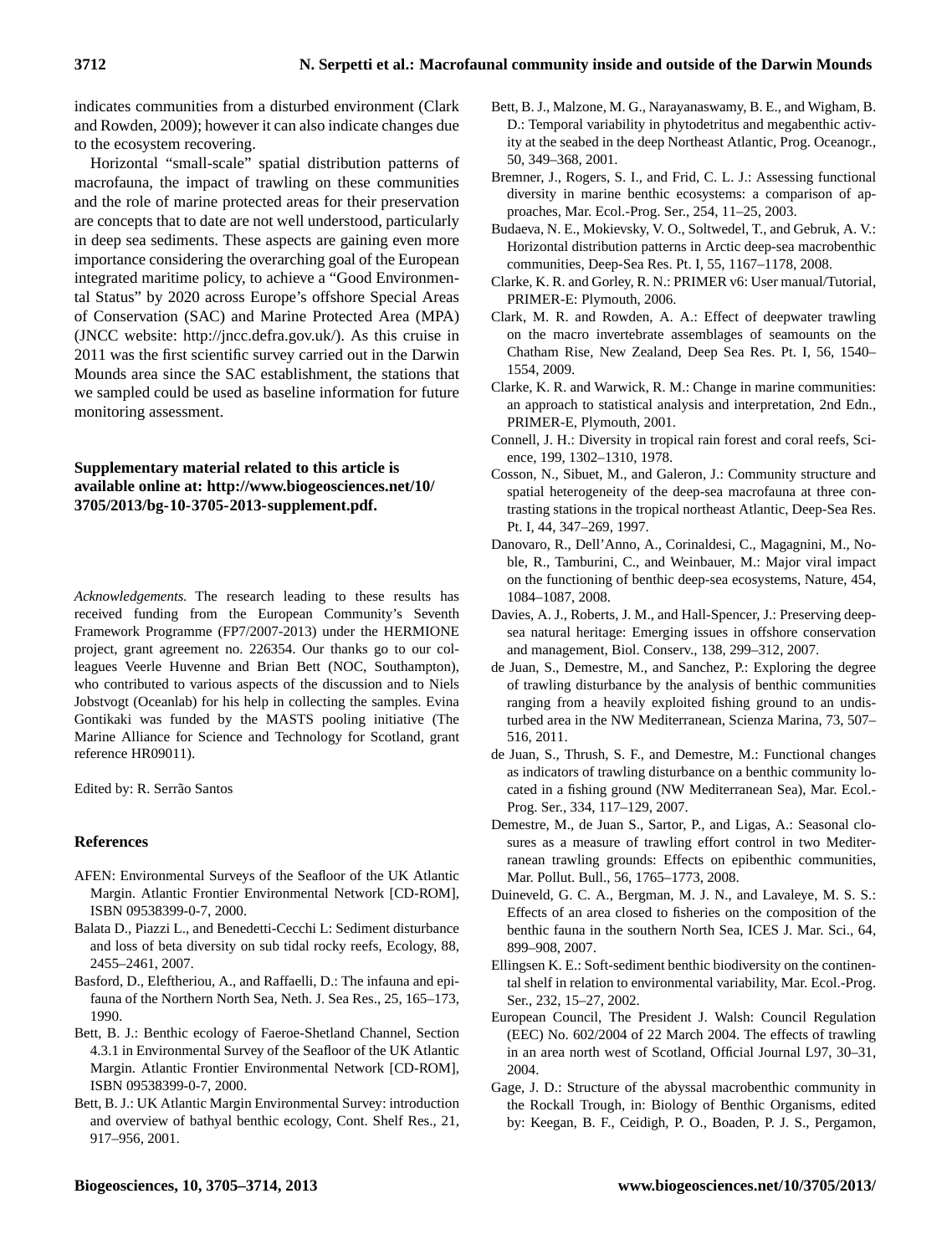indicates communities from a disturbed environment (Clark and Rowden, 2009); however it can also indicate changes due to the ecosystem recovering.

Horizontal "small-scale" spatial distribution patterns of macrofauna, the impact of trawling on these communities and the role of marine protected areas for their preservation are concepts that to date are not well understood, particularly in deep sea sediments. These aspects are gaining even more importance considering the overarching goal of the European integrated maritime policy, to achieve a "Good Environmental Status" by 2020 across Europe's offshore Special Areas of Conservation (SAC) and Marine Protected Area (MPA) (JNCC website: [http://jncc.defra.gov.uk/\)](http://jncc.defra.gov.uk/). As this cruise in 2011 was the first scientific survey carried out in the Darwin Mounds area since the SAC establishment, the stations that we sampled could be used as baseline information for future monitoring assessment.

# **Supplementary material related to this article is available online at: [http://www.biogeosciences.net/10/](http://www.biogeosciences.net/10/3705/2013/bg-10-3705-2013-supplement.pdf) [3705/2013/bg-10-3705-2013-supplement.pdf.](http://www.biogeosciences.net/10/3705/2013/bg-10-3705-2013-supplement.pdf)**

*Acknowledgements.* The research leading to these results has received funding from the European Community's Seventh Framework Programme (FP7/2007-2013) under the HERMIONE project, grant agreement no. 226354. Our thanks go to our colleagues Veerle Huvenne and Brian Bett (NOC, Southampton), who contributed to various aspects of the discussion and to Niels Jobstvogt (Oceanlab) for his help in collecting the samples. Evina Gontikaki was funded by the MASTS pooling initiative (The Marine Alliance for Science and Technology for Scotland, grant reference HR09011).

Edited by: R. Serrão Santos

#### **References**

- AFEN: Environmental Surveys of the Seafloor of the UK Atlantic Margin. Atlantic Frontier Environmental Network [CD-ROM], ISBN 09538399-0-7, 2000.
- Balata D., Piazzi L., and Benedetti-Cecchi L: Sediment disturbance and loss of beta diversity on sub tidal rocky reefs, Ecology, 88, 2455–2461, 2007.
- Basford, D., Eleftheriou, A., and Raffaelli, D.: The infauna and epifauna of the Northern North Sea, Neth. J. Sea Res., 25, 165–173, 1990.
- Bett, B. J.: Benthic ecology of Faeroe-Shetland Channel, Section 4.3.1 in Environmental Survey of the Seafloor of the UK Atlantic Margin. Atlantic Frontier Environmental Network [CD-ROM], ISBN 09538399-0-7, 2000.
- Bett, B. J.: UK Atlantic Margin Environmental Survey: introduction and overview of bathyal benthic ecology, Cont. Shelf Res., 21, 917–956, 2001.
- Bett, B. J., Malzone, M. G., Narayanaswamy, B. E., and Wigham, B. D.: Temporal variability in phytodetritus and megabenthic activity at the seabed in the deep Northeast Atlantic, Prog. Oceanogr., 50, 349–368, 2001.
- Bremner, J., Rogers, S. I., and Frid, C. L. J.: Assessing functional diversity in marine benthic ecosystems: a comparison of approaches, Mar. Ecol.-Prog. Ser., 254, 11–25, 2003.
- Budaeva, N. E., Mokievsky, V. O., Soltwedel, T., and Gebruk, A. V.: Horizontal distribution patterns in Arctic deep-sea macrobenthic communities, Deep-Sea Res. Pt. I, 55, 1167–1178, 2008.
- Clarke, K. R. and Gorley, R. N.: PRIMER v6: User manual/Tutorial, PRIMER-E: Plymouth, 2006.
- Clark, M. R. and Rowden, A. A.: Effect of deepwater trawling on the macro invertebrate assemblages of seamounts on the Chatham Rise, New Zealand, Deep Sea Res. Pt. I, 56, 1540– 1554, 2009.
- Clarke, K. R. and Warwick, R. M.: Change in marine communities: an approach to statistical analysis and interpretation, 2nd Edn., PRIMER-E, Plymouth, 2001.
- Connell, J. H.: Diversity in tropical rain forest and coral reefs, Science, 199, 1302–1310, 1978.
- Cosson, N., Sibuet, M., and Galeron, J.: Community structure and spatial heterogeneity of the deep-sea macrofauna at three contrasting stations in the tropical northeast Atlantic, Deep-Sea Res. Pt. I, 44, 347–269, 1997.
- Danovaro, R., Dell'Anno, A., Corinaldesi, C., Magagnini, M., Noble, R., Tamburini, C., and Weinbauer, M.: Major viral impact on the functioning of benthic deep-sea ecosystems, Nature, 454, 1084–1087, 2008.
- Davies, A. J., Roberts, J. M., and Hall-Spencer, J.: Preserving deepsea natural heritage: Emerging issues in offshore conservation and management, Biol. Conserv., 138, 299–312, 2007.
- de Juan, S., Demestre, M., and Sanchez, P.: Exploring the degree of trawling disturbance by the analysis of benthic communities ranging from a heavily exploited fishing ground to an undisturbed area in the NW Mediterranean, Scienza Marina, 73, 507– 516, 2011.
- de Juan, S., Thrush, S. F., and Demestre, M.: Functional changes as indicators of trawling disturbance on a benthic community located in a fishing ground (NW Mediterranean Sea), Mar. Ecol.- Prog. Ser., 334, 117–129, 2007.
- Demestre, M., de Juan S., Sartor, P., and Ligas, A.: Seasonal closures as a measure of trawling effort control in two Mediterranean trawling grounds: Effects on epibenthic communities, Mar. Pollut. Bull., 56, 1765–1773, 2008.
- Duineveld, G. C. A., Bergman, M. J. N., and Lavaleye, M. S. S.: Effects of an area closed to fisheries on the composition of the benthic fauna in the southern North Sea, ICES J. Mar. Sci., 64, 899–908, 2007.
- Ellingsen K. E.: Soft-sediment benthic biodiversity on the continental shelf in relation to environmental variability, Mar. Ecol.-Prog. Ser., 232, 15–27, 2002.
- European Council, The President J. Walsh: Council Regulation (EEC) No. 602/2004 of 22 March 2004. The effects of trawling in an area north west of Scotland, Official Journal L97, 30–31, 2004.
- Gage, J. D.: Structure of the abyssal macrobenthic community in the Rockall Trough, in: Biology of Benthic Organisms, edited by: Keegan, B. F., Ceidigh, P. O., Boaden, P. J. S., Pergamon,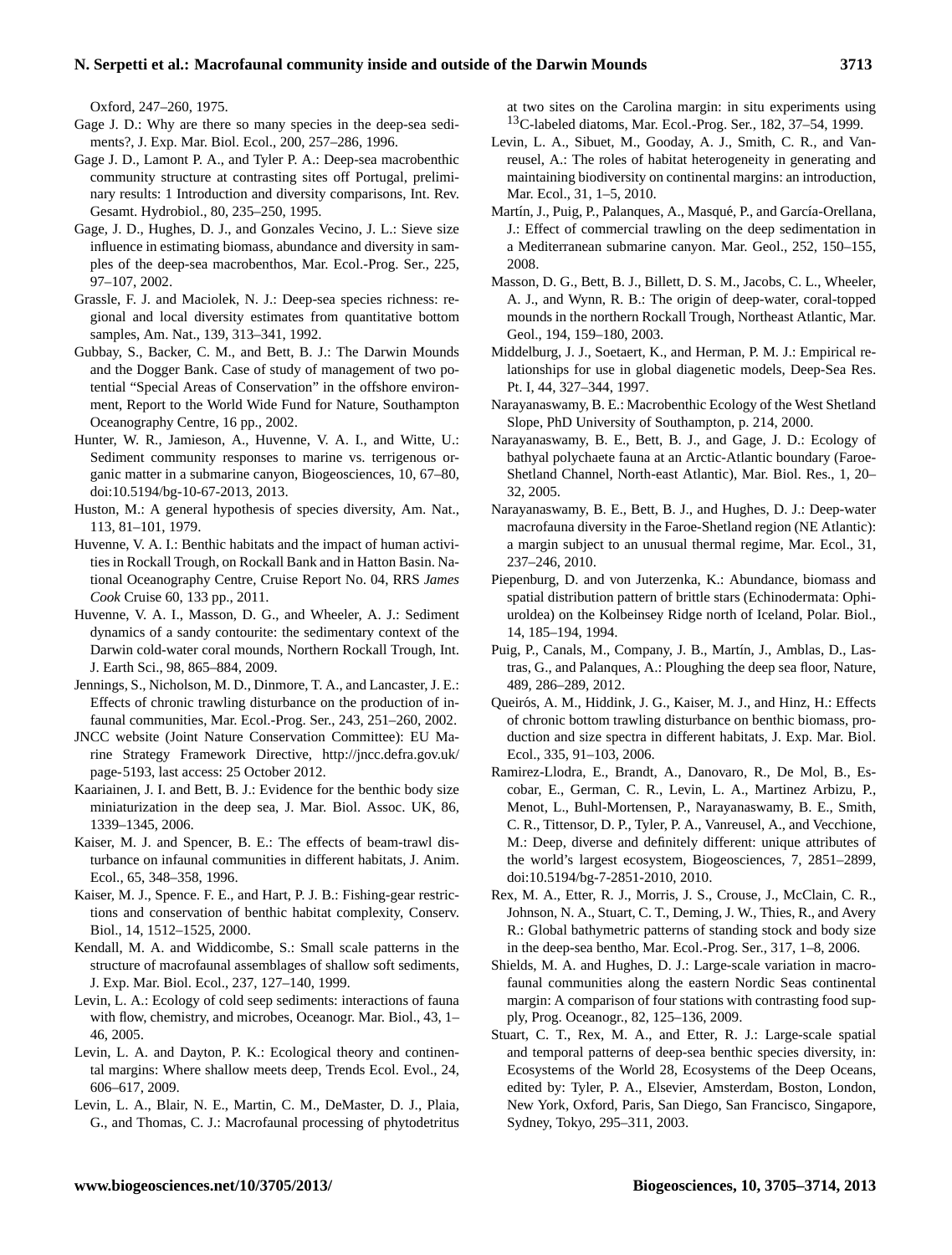# **N. Serpetti et al.: Macrofaunal community inside and outside of the Darwin Mounds 3713**

Oxford, 247–260, 1975.

- Gage J. D.: Why are there so many species in the deep-sea sediments?, J. Exp. Mar. Biol. Ecol., 200, 257–286, 1996.
- Gage J. D., Lamont P. A., and Tyler P. A.: Deep-sea macrobenthic community structure at contrasting sites off Portugal, preliminary results: 1 Introduction and diversity comparisons, Int. Rev. Gesamt. Hydrobiol., 80, 235–250, 1995.
- Gage, J. D., Hughes, D. J., and Gonzales Vecino, J. L.: Sieve size influence in estimating biomass, abundance and diversity in samples of the deep-sea macrobenthos, Mar. Ecol.-Prog. Ser., 225, 97–107, 2002.
- Grassle, F. J. and Maciolek, N. J.: Deep-sea species richness: regional and local diversity estimates from quantitative bottom samples, Am. Nat., 139, 313–341, 1992.
- Gubbay, S., Backer, C. M., and Bett, B. J.: The Darwin Mounds and the Dogger Bank. Case of study of management of two potential "Special Areas of Conservation" in the offshore environment, Report to the World Wide Fund for Nature, Southampton Oceanography Centre, 16 pp., 2002.
- Hunter, W. R., Jamieson, A., Huvenne, V. A. I., and Witte, U.: Sediment community responses to marine vs. terrigenous organic matter in a submarine canyon, Biogeosciences, 10, 67–80, doi[:10.5194/bg-10-67-2013,](http://dx.doi.org/10.5194/bg-10-67-2013) 2013.
- Huston, M.: A general hypothesis of species diversity, Am. Nat., 113, 81–101, 1979.
- Huvenne, V. A. I.: Benthic habitats and the impact of human activities in Rockall Trough, on Rockall Bank and in Hatton Basin. National Oceanography Centre, Cruise Report No. 04, RRS *James Cook* Cruise 60, 133 pp., 2011.
- Huvenne, V. A. I., Masson, D. G., and Wheeler, A. J.: Sediment dynamics of a sandy contourite: the sedimentary context of the Darwin cold-water coral mounds, Northern Rockall Trough, Int. J. Earth Sci., 98, 865–884, 2009.
- Jennings, S., Nicholson, M. D., Dinmore, T. A., and Lancaster, J. E.: Effects of chronic trawling disturbance on the production of infaunal communities, Mar. Ecol.-Prog. Ser., 243, 251–260, 2002.
- JNCC website (Joint Nature Conservation Committee): EU Marine Strategy Framework Directive, [http://jncc.defra.gov.uk/](http://jncc.defra.gov.uk/page-5193) [page-5193,](http://jncc.defra.gov.uk/page-5193) last access: 25 October 2012.
- Kaariainen, J. I. and Bett, B. J.: Evidence for the benthic body size miniaturization in the deep sea, J. Mar. Biol. Assoc. UK, 86, 1339–1345, 2006.
- Kaiser, M. J. and Spencer, B. E.: The effects of beam-trawl disturbance on infaunal communities in different habitats, J. Anim. Ecol., 65, 348–358, 1996.
- Kaiser, M. J., Spence. F. E., and Hart, P. J. B.: Fishing-gear restrictions and conservation of benthic habitat complexity, Conserv. Biol., 14, 1512–1525, 2000.
- Kendall, M. A. and Widdicombe, S.: Small scale patterns in the structure of macrofaunal assemblages of shallow soft sediments, J. Exp. Mar. Biol. Ecol., 237, 127–140, 1999.
- Levin, L. A.: Ecology of cold seep sediments: interactions of fauna with flow, chemistry, and microbes, Oceanogr. Mar. Biol., 43, 1– 46, 2005.
- Levin, L. A. and Dayton, P. K.: Ecological theory and continental margins: Where shallow meets deep, Trends Ecol. Evol., 24, 606–617, 2009.
- Levin, L. A., Blair, N. E., Martin, C. M., DeMaster, D. J., Plaia, G., and Thomas, C. J.: Macrofaunal processing of phytodetritus

at two sites on the Carolina margin: in situ experiments using <sup>13</sup>C-labeled diatoms, Mar. Ecol.-Prog. Ser., 182, 37–54, 1999.

- Levin, L. A., Sibuet, M., Gooday, A. J., Smith, C. R., and Vanreusel, A.: The roles of habitat heterogeneity in generating and maintaining biodiversity on continental margins: an introduction, Mar. Ecol., 31, 1–5, 2010.
- Martín, J., Puig, P., Palanques, A., Masqué, P., and García-Orellana, J.: Effect of commercial trawling on the deep sedimentation in a Mediterranean submarine canyon. Mar. Geol., 252, 150–155, 2008.
- Masson, D. G., Bett, B. J., Billett, D. S. M., Jacobs, C. L., Wheeler, A. J., and Wynn, R. B.: The origin of deep-water, coral-topped mounds in the northern Rockall Trough, Northeast Atlantic, Mar. Geol., 194, 159–180, 2003.
- Middelburg, J. J., Soetaert, K., and Herman, P. M. J.: Empirical relationships for use in global diagenetic models, Deep-Sea Res. Pt. I, 44, 327–344, 1997.
- Narayanaswamy, B. E.: Macrobenthic Ecology of the West Shetland Slope, PhD University of Southampton, p. 214, 2000.
- Narayanaswamy, B. E., Bett, B. J., and Gage, J. D.: Ecology of bathyal polychaete fauna at an Arctic-Atlantic boundary (Faroe-Shetland Channel, North-east Atlantic), Mar. Biol. Res., 1, 20– 32, 2005.
- Narayanaswamy, B. E., Bett, B. J., and Hughes, D. J.: Deep-water macrofauna diversity in the Faroe-Shetland region (NE Atlantic): a margin subject to an unusual thermal regime, Mar. Ecol., 31, 237–246, 2010.
- Piepenburg, D. and von Juterzenka, K.: Abundance, biomass and spatial distribution pattern of brittle stars (Echinodermata: Ophiuroldea) on the Kolbeinsey Ridge north of Iceland, Polar. Biol., 14, 185–194, 1994.
- Puig, P., Canals, M., Company, J. B., Martín, J., Amblas, D., Lastras, G., and Palanques, A.: Ploughing the deep sea floor, Nature, 489, 286–289, 2012.
- Queirós, A. M., Hiddink, J. G., Kaiser, M. J., and Hinz, H.: Effects of chronic bottom trawling disturbance on benthic biomass, production and size spectra in different habitats, J. Exp. Mar. Biol. Ecol., 335, 91–103, 2006.
- Ramirez-Llodra, E., Brandt, A., Danovaro, R., De Mol, B., Escobar, E., German, C. R., Levin, L. A., Martinez Arbizu, P., Menot, L., Buhl-Mortensen, P., Narayanaswamy, B. E., Smith, C. R., Tittensor, D. P., Tyler, P. A., Vanreusel, A., and Vecchione, M.: Deep, diverse and definitely different: unique attributes of the world's largest ecosystem, Biogeosciences, 7, 2851–2899, doi[:10.5194/bg-7-2851-2010,](http://dx.doi.org/10.5194/bg-7-2851-2010) 2010.
- Rex, M. A., Etter, R. J., Morris, J. S., Crouse, J., McClain, C. R., Johnson, N. A., Stuart, C. T., Deming, J. W., Thies, R., and Avery R.: Global bathymetric patterns of standing stock and body size in the deep-sea bentho, Mar. Ecol.-Prog. Ser., 317, 1–8, 2006.
- Shields, M. A. and Hughes, D. J.: Large-scale variation in macrofaunal communities along the eastern Nordic Seas continental margin: A comparison of four stations with contrasting food supply, Prog. Oceanogr., 82, 125–136, 2009.
- Stuart, C. T., Rex, M. A., and Etter, R. J.: Large-scale spatial and temporal patterns of deep-sea benthic species diversity, in: Ecosystems of the World 28, Ecosystems of the Deep Oceans, edited by: Tyler, P. A., Elsevier, Amsterdam, Boston, London, New York, Oxford, Paris, San Diego, San Francisco, Singapore, Sydney, Tokyo, 295–311, 2003.